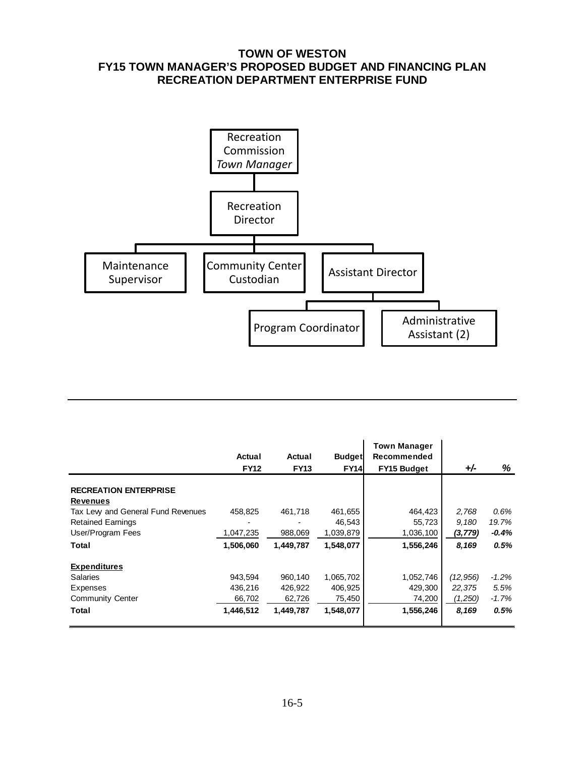## **TOWN OF WESTON FY15 TOWN MANAGER'S PROPOSED BUDGET AND FINANCING PLAN RECREATION DEPARTMENT ENTERPRISE FUND**



|                                   | Actual<br><b>FY12</b> | Actual<br><b>FY13</b> | <b>Budget</b><br><b>FY14</b> | <b>Town Manager</b><br>Recommended<br><b>FY15 Budget</b> | $+/-$     | %       |
|-----------------------------------|-----------------------|-----------------------|------------------------------|----------------------------------------------------------|-----------|---------|
|                                   |                       |                       |                              |                                                          |           |         |
| <b>RECREATION ENTERPRISE</b>      |                       |                       |                              |                                                          |           |         |
| <b>Revenues</b>                   |                       |                       |                              |                                                          |           |         |
| Tax Lew and General Fund Revenues | 458.825               | 461.718               | 461,655                      | 464,423                                                  | 2,768     | 0.6%    |
| <b>Retained Earnings</b>          |                       |                       | 46,543                       | 55,723                                                   | 9.180     | 19.7%   |
| User/Program Fees                 | 1,047,235             | 988,069               | 1,039,879                    | 1,036,100                                                | (3, 779)  | $-0.4%$ |
| Total                             | 1,506,060             | 1.449.787             | 1,548,077                    | 1,556,246                                                | 8,169     | 0.5%    |
| <b>Expenditures</b>               |                       |                       |                              |                                                          |           |         |
| <b>Salaries</b>                   | 943.594               | 960,140               | 1,065,702                    | 1,052,746                                                | (12, 956) | $-1.2%$ |
| Expenses                          | 436,216               | 426,922               | 406,925                      | 429,300                                                  | 22,375    | 5.5%    |
| <b>Community Center</b>           | 66,702                | 62,726                | 75,450                       | 74,200                                                   | (1,250)   | $-1.7%$ |
| Total                             | 1,446,512             | 1,449,787             | 1,548,077                    | 1,556,246                                                | 8,169     | 0.5%    |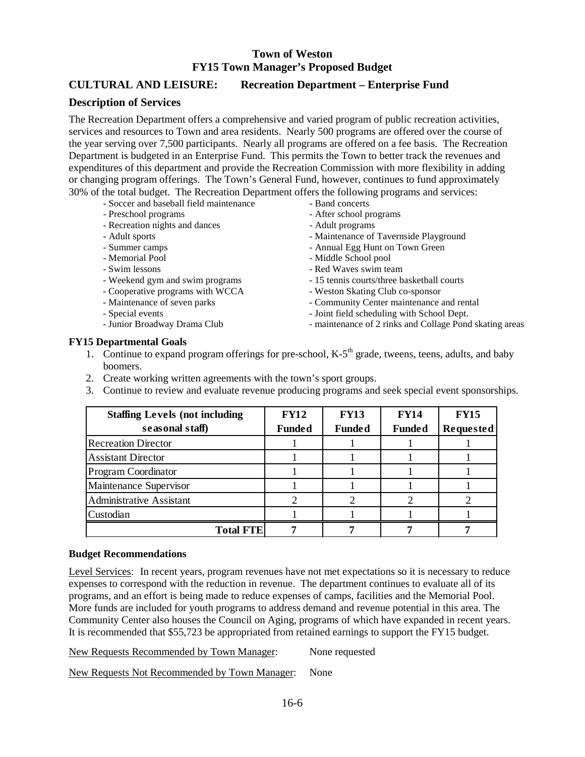## **CULTURAL AND LEISURE: Recreation Department – Enterprise Fund**

### **Description of Services**

The Recreation Department offers a comprehensive and varied program of public recreation activities, services and resources to Town and area residents. Nearly 500 programs are offered over the course of the year serving over 7,500 participants. Nearly all programs are offered on a fee basis. The Recreation Department is budgeted in an Enterprise Fund. This permits the Town to better track the revenues and expenditures of this department and provide the Recreation Commission with more flexibility in adding or changing program offerings. The Town's General Fund, however, continues to fund approximately 30% of the total budget. The Recreation Department offers the following programs and services:

- Soccer and baseball field maintenance Band concerts
- 
- Recreation nights and dances Adult programs
- 
- 
- 
- 
- 
- Cooperative programs with WCCA Weston Skating Club co-sponsor
- 
- 
- 
- 
- Preschool programs After school programs
	-
- Adult sports  $\blacksquare$
- Summer camps  $\overline{\phantom{a}}$  Annual Egg Hunt on Town Green
- Memorial Pool  **Middle School pool**
- Swim lessons  **Red Waves swim team**
- Weekend gym and swim programs 15 tennis courts/three basketball courts
	-
- Maintenance of seven parks Community Center maintenance and rental
- Special events  $\overline{\phantom{a}}$  Joint field scheduling with School Dept.
- Junior Broadway Drama Club maintenance of 2 rinks and Collage Pond skating areas

### **FY15 Departmental Goals**

- 1. Continue to expand program offerings for pre-school,  $K-5<sup>th</sup>$  grade, tweens, teens, adults, and baby boomers.
- 2. Create working written agreements with the town's sport groups.
- 3. Continue to review and evaluate revenue producing programs and seek special event sponsorships.

| <b>Staffing Levels (not including</b><br>seasonal staff) | <b>FY12</b><br><b>Funded</b> | <b>FY13</b><br><b>Funded</b> | <b>FY14</b><br><b>Funded</b> | <b>FY15</b><br><b>Requested</b> |
|----------------------------------------------------------|------------------------------|------------------------------|------------------------------|---------------------------------|
| <b>Recreation Director</b>                               |                              |                              |                              |                                 |
| <b>Assistant Director</b>                                |                              |                              |                              |                                 |
| <b>Program Coordinator</b>                               |                              |                              |                              |                                 |
| Maintenance Supervisor                                   |                              |                              |                              |                                 |
| <b>Administrative Assistant</b>                          |                              |                              |                              |                                 |
| Custodian                                                |                              |                              |                              |                                 |
| <b>Total FTE</b>                                         |                              |                              |                              |                                 |

#### **Budget Recommendations**

Level Services: In recent years, program revenues have not met expectations so it is necessary to reduce expenses to correspond with the reduction in revenue. The department continues to evaluate all of its programs, and an effort is being made to reduce expenses of camps, facilities and the Memorial Pool. More funds are included for youth programs to address demand and revenue potential in this area. The Community Center also houses the Council on Aging, programs of which have expanded in recent years. It is recommended that \$55,723 be appropriated from retained earnings to support the FY15 budget.

New Requests Recommended by Town Manager: None requested

New Requests Not Recommended by Town Manager: None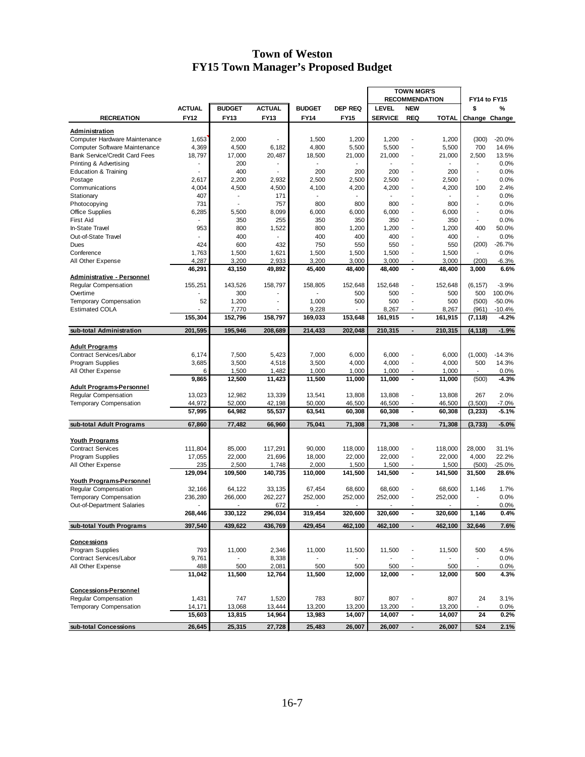| <b>RECOMMENDATION</b><br>FY14 to FY15<br><b>ACTUAL</b><br><b>ACTUAL</b><br><b>DEP REQ</b><br><b>LEVEL</b><br><b>NEW</b><br><b>BUDGET</b><br><b>BUDGET</b><br>%<br>\$<br><b>RECREATION</b><br>FY12<br>FY13<br>FY13<br><b>FY14</b><br>FY15<br><b>SERVICE</b><br><b>REQ</b><br><b>TOTAL</b><br>Change Change<br>Administration<br>1,653<br>(300)<br>$-20.0%$<br>Computer Hardware Maintenance<br>2,000<br>1,500<br>1,200<br>1,200<br>1,200<br>L,<br>4,369<br>4,800<br>5,500<br>5,500<br>700<br>14.6%<br>Computer Software Maintenance<br>4,500<br>6,182<br>5,500<br>$\overline{a}$<br>18,797<br>17,000<br>20,487<br>21,000<br>21,000<br>13.5%<br><b>Bank Service/Credit Card Fees</b><br>18,500<br>21,000<br>2,500<br>$\overline{a}$<br>0.0%<br>Printing & Advertising<br>200<br>400<br>0.0%<br><b>Education &amp; Training</b><br>200<br>200<br>200<br>200<br>$\overline{a}$<br>$\overline{\phantom{a}}$<br>2,932<br>2,500<br>2,500<br>0.0%<br>2,617<br>2,200<br>2,500<br>2,500<br>Postage<br>$\overline{a}$<br>$\blacksquare$<br>4,004<br>4,500<br>4,500<br>4,200<br>2.4%<br>Communications<br>4,100<br>4,200<br>4,200<br>100<br>$\overline{a}$<br>407<br>171<br>0.0%<br>Stationary<br>731<br>757<br>800<br>800<br>800<br>800<br>0.0%<br>Photocopying<br>÷,<br>$\overline{a}$<br>8,099<br>0.0%<br><b>Office Supplies</b><br>6,285<br>5,500<br>6,000<br>6,000<br>6,000<br>$\overline{a}$<br>6,000<br>$\overline{a}$<br>255<br>0.0%<br><b>First Aid</b><br>350<br>350<br>350<br>350<br>350<br>$\overline{a}$<br>$\overline{\phantom{a}}$<br>953<br>800<br>1,522<br>800<br>1,200<br>50.0%<br>In-State Travel<br>1,200<br>1,200<br>400<br>$\overline{\phantom{a}}$<br>Out-of-State Travel<br>400<br>400<br>0.0%<br>400<br>400<br>400<br>Ĭ.<br>750<br>(200)<br>$-26.7%$<br>424<br>600<br>432<br>550<br>550<br>550<br>Dues<br>$\overline{a}$<br>1,763<br>1,500<br>1,621<br>1,500<br>1,500<br>1,500<br>1,500<br>0.0%<br>Conference<br>÷,<br>4,287<br>2,933<br>3,200<br>3,000<br>All Other Expense<br>3,200<br>3,000<br>3,000<br>(200)<br>$-6.3%$<br>$\blacksquare$<br>46,291<br>43,150<br>49,892<br>45,400<br>48,400<br>48,400<br>6.6%<br>48,400<br>3,000<br><b>Administrative - Personnel</b><br>$-3.9%$<br>Regular Compensation<br>155,251<br>143,526<br>158.797<br>158,805<br>152,648<br>152,648<br>152,648<br>$\overline{a}$<br>(6, 157)<br>300<br>500<br>500<br>100.0%<br>Overtime<br>500<br>500<br>$\overline{a}$<br>$-50.0%$<br><b>Temporary Compensation</b><br>52<br>1,200<br>1,000<br>500<br>500<br>500<br>(500)<br>÷,<br>L,<br><b>Estimated COLA</b><br>7,770<br>9,228<br>8,267<br>8,267<br>(961)<br>$-10.4%$<br>$\overline{a}$<br>155,304<br>152,796<br>158,797<br>169,033<br>161,915<br>$\blacksquare$<br>161,915<br>$-4.2%$<br>153,648<br>(7, 118)<br>201,595<br>195,946<br>208,689<br>214,433<br>202,048<br>210,315<br>210,315<br>$-1.9%$<br>sub-total Administration<br>(4, 118)<br>$\overline{\phantom{a}}$<br><b>Adult Programs</b><br>Contract Services/Labor<br>6,174<br>7,500<br>5,423<br>7,000<br>6,000<br>6,000<br>6,000<br>(1,000)<br>$-14.3%$<br>÷,<br>Program Supplies<br>3,685<br>3,500<br>4,518<br>3,500<br>4,000<br>4,000<br>4,000<br>500<br>14.3%<br>Ĭ.<br>0.0%<br>All Other Expense<br>1,500<br>1,482<br>1,000<br>1,000<br>1,000<br>1,000<br>6<br>$\overline{a}$<br>9,865<br>12,500<br>11,423<br>11,500<br>11,000<br>11,000<br>11,000<br>$-4.3%$<br>$\blacksquare$<br>(500)<br><b>Adult Programs-Personnel</b><br>12,982<br>2.0%<br>Regular Compensation<br>13,023<br>13,339<br>13,541<br>13,808<br>13,808<br>13,808<br>267<br>$\qquad \qquad \blacksquare$<br>44,972<br>52,000<br>50,000<br>46,500<br>(3,500)<br>$-7.0%$<br><b>Temporary Compensation</b><br>42,198<br>46,500<br>46,500<br>Ĭ.<br>57,995<br>55,537<br>63,541<br>60,308<br>$-5.1%$<br>64,982<br>60,308<br>$\blacksquare$<br>60,308<br>(3, 233)<br>$-5.0%$<br>sub-total Adult Programs<br>67,860<br>77,482<br>66,960<br>75,041<br>71,308<br>71,308<br>71,308<br>$\overline{\phantom{a}}$<br>(3,733)<br><b>Youth Programs</b><br><b>Contract Services</b><br>28,000<br>111,804<br>85,000<br>117,291<br>90,000<br>118,000<br>118,000<br>$\overline{a}$<br>118,000<br>31.1%<br>22.2%<br>17,055<br>22,000<br>21,696<br>18,000<br>22,000<br>22,000<br>22,000<br>4,000<br>Program Supplies<br>$\overline{a}$<br>2,000<br>All Other Expense<br>235<br>2,500<br>1,748<br>1,500<br>1,500<br>1,500<br>(500)<br>$-25.0\%$<br>129,094<br>109,500<br>140,735<br>110,000<br>141,500<br>141,500<br>141,500<br>28.6%<br>$\blacksquare$<br>31,500<br><b>Youth Programs-Personnel</b><br><b>Reqular Compensation</b><br>32,166<br>1.7%<br>64,122<br>33,135<br>67,454<br>68,600<br>68.600<br>68,600<br>1,146<br>$\overline{a}$<br>236,280<br>266,000<br>262,227<br>252,000<br>252,000<br>0.0%<br>Temporary Compensation<br>252,000<br>$\overline{a}$<br>252,000<br>0.0%<br>Out-of-Department Salaries<br>672<br>0.4%<br>268.446<br>330,122<br>296,034<br>319,454<br>320,600<br>320,600<br>320,600<br>1,146<br>$\blacksquare$<br>397,540<br>436,769<br>429,454<br>sub-total Youth Programs<br>439,622<br>462,100<br>462,100<br>462,100<br>32,646<br>7.6%<br>$\blacksquare$<br>Concessions<br>2.346<br>Program Supplies<br>793<br>11,000<br>11,000<br>11,500<br>500<br>4.5%<br>11,500<br>11,500<br>0.0%<br>Contract Services/Labor<br>9,761<br>8,338<br>$\overline{\phantom{a}}$<br>All Other Expense<br>488<br>500<br>2,081<br>500<br>500<br>500<br>0.0%<br>500<br>$\overline{\phantom{a}}$<br>$\overline{\phantom{a}}$<br>4.3%<br>11,042<br>11,500<br>12,764<br>11,500<br>12,000<br>12,000<br>12,000<br>500<br><b>Concessions-Personnel</b><br>Regular Compensation<br>1,431<br>747<br>1,520<br>783<br>807<br>807<br>807<br>3.1%<br>24<br>Temporary Compensation<br>14,171<br>13,068<br>13,444<br>13,200<br>0.0%<br>13,200<br>13,200<br>13,200<br>$\overline{a}$<br>$\overline{\phantom{a}}$<br>15,603<br>13,815<br>14,964<br>13,983<br>14,007<br>14,007<br>14,007<br>24<br>0.2%<br>26,645<br>25,315<br>sub-total Concessions<br>27,728<br>25,483<br>26,007<br>26,007<br>26,007<br>524<br>2.1%<br>$\overline{\phantom{a}}$ |  |  |  | <b>TOWN MGR'S</b> |  |  |  |
|----------------------------------------------------------------------------------------------------------------------------------------------------------------------------------------------------------------------------------------------------------------------------------------------------------------------------------------------------------------------------------------------------------------------------------------------------------------------------------------------------------------------------------------------------------------------------------------------------------------------------------------------------------------------------------------------------------------------------------------------------------------------------------------------------------------------------------------------------------------------------------------------------------------------------------------------------------------------------------------------------------------------------------------------------------------------------------------------------------------------------------------------------------------------------------------------------------------------------------------------------------------------------------------------------------------------------------------------------------------------------------------------------------------------------------------------------------------------------------------------------------------------------------------------------------------------------------------------------------------------------------------------------------------------------------------------------------------------------------------------------------------------------------------------------------------------------------------------------------------------------------------------------------------------------------------------------------------------------------------------------------------------------------------------------------------------------------------------------------------------------------------------------------------------------------------------------------------------------------------------------------------------------------------------------------------------------------------------------------------------------------------------------------------------------------------------------------------------------------------------------------------------------------------------------------------------------------------------------------------------------------------------------------------------------------------------------------------------------------------------------------------------------------------------------------------------------------------------------------------------------------------------------------------------------------------------------------------------------------------------------------------------------------------------------------------------------------------------------------------------------------------------------------------------------------------------------------------------------------------------------------------------------------------------------------------------------------------------------------------------------------------------------------------------------------------------------------------------------------------------------------------------------------------------------------------------------------------------------------------------------------------------------------------------------------------------------------------------------------------------------------------------------------------------------------------------------------------------------------------------------------------------------------------------------------------------------------------------------------------------------------------------------------------------------------------------------------------------------------------------------------------------------------------------------------------------------------------------------------------------------------------------------------------------------------------------------------------------------------------------------------------------------------------------------------------------------------------------------------------------------------------------------------------------------------------------------------------------------------------------------------------------------------------------------------------------------------------------------------------------------------------------------------------------------------------------------------------------------------------------------------------------------------------------------------------------------------------------------------------------------------------------------------------------------------------------------------------------------------------------------------------------------------------------------------------------------------------------------------------------------------------------------------------------------------------------------------------------------------------------------------------------------------------------------------------------------------------------------------------------------------------------------------------------------------------------------------------------------------------------------------------------------------------------------------------------------------------------------------------------------------------------------------------------------------------------------------------------------------------------------------------------------------------------------------------------------------------------------------------------------------------------------------------------------------------------------------------------|--|--|--|-------------------|--|--|--|
|                                                                                                                                                                                                                                                                                                                                                                                                                                                                                                                                                                                                                                                                                                                                                                                                                                                                                                                                                                                                                                                                                                                                                                                                                                                                                                                                                                                                                                                                                                                                                                                                                                                                                                                                                                                                                                                                                                                                                                                                                                                                                                                                                                                                                                                                                                                                                                                                                                                                                                                                                                                                                                                                                                                                                                                                                                                                                                                                                                                                                                                                                                                                                                                                                                                                                                                                                                                                                                                                                                                                                                                                                                                                                                                                                                                                                                                                                                                                                                                                                                                                                                                                                                                                                                                                                                                                                                                                                                                                                                                                                                                                                                                                                                                                                                                                                                                                                                                                                                                                                                                                                                                                                                                                                                                                                                                                                                                                                                                                                                                                                                                                                                                                                                                                                                                                                                                                                                                                                                                                                                                                                              |  |  |  |                   |  |  |  |
|                                                                                                                                                                                                                                                                                                                                                                                                                                                                                                                                                                                                                                                                                                                                                                                                                                                                                                                                                                                                                                                                                                                                                                                                                                                                                                                                                                                                                                                                                                                                                                                                                                                                                                                                                                                                                                                                                                                                                                                                                                                                                                                                                                                                                                                                                                                                                                                                                                                                                                                                                                                                                                                                                                                                                                                                                                                                                                                                                                                                                                                                                                                                                                                                                                                                                                                                                                                                                                                                                                                                                                                                                                                                                                                                                                                                                                                                                                                                                                                                                                                                                                                                                                                                                                                                                                                                                                                                                                                                                                                                                                                                                                                                                                                                                                                                                                                                                                                                                                                                                                                                                                                                                                                                                                                                                                                                                                                                                                                                                                                                                                                                                                                                                                                                                                                                                                                                                                                                                                                                                                                                                              |  |  |  |                   |  |  |  |
|                                                                                                                                                                                                                                                                                                                                                                                                                                                                                                                                                                                                                                                                                                                                                                                                                                                                                                                                                                                                                                                                                                                                                                                                                                                                                                                                                                                                                                                                                                                                                                                                                                                                                                                                                                                                                                                                                                                                                                                                                                                                                                                                                                                                                                                                                                                                                                                                                                                                                                                                                                                                                                                                                                                                                                                                                                                                                                                                                                                                                                                                                                                                                                                                                                                                                                                                                                                                                                                                                                                                                                                                                                                                                                                                                                                                                                                                                                                                                                                                                                                                                                                                                                                                                                                                                                                                                                                                                                                                                                                                                                                                                                                                                                                                                                                                                                                                                                                                                                                                                                                                                                                                                                                                                                                                                                                                                                                                                                                                                                                                                                                                                                                                                                                                                                                                                                                                                                                                                                                                                                                                                              |  |  |  |                   |  |  |  |
|                                                                                                                                                                                                                                                                                                                                                                                                                                                                                                                                                                                                                                                                                                                                                                                                                                                                                                                                                                                                                                                                                                                                                                                                                                                                                                                                                                                                                                                                                                                                                                                                                                                                                                                                                                                                                                                                                                                                                                                                                                                                                                                                                                                                                                                                                                                                                                                                                                                                                                                                                                                                                                                                                                                                                                                                                                                                                                                                                                                                                                                                                                                                                                                                                                                                                                                                                                                                                                                                                                                                                                                                                                                                                                                                                                                                                                                                                                                                                                                                                                                                                                                                                                                                                                                                                                                                                                                                                                                                                                                                                                                                                                                                                                                                                                                                                                                                                                                                                                                                                                                                                                                                                                                                                                                                                                                                                                                                                                                                                                                                                                                                                                                                                                                                                                                                                                                                                                                                                                                                                                                                                              |  |  |  |                   |  |  |  |
|                                                                                                                                                                                                                                                                                                                                                                                                                                                                                                                                                                                                                                                                                                                                                                                                                                                                                                                                                                                                                                                                                                                                                                                                                                                                                                                                                                                                                                                                                                                                                                                                                                                                                                                                                                                                                                                                                                                                                                                                                                                                                                                                                                                                                                                                                                                                                                                                                                                                                                                                                                                                                                                                                                                                                                                                                                                                                                                                                                                                                                                                                                                                                                                                                                                                                                                                                                                                                                                                                                                                                                                                                                                                                                                                                                                                                                                                                                                                                                                                                                                                                                                                                                                                                                                                                                                                                                                                                                                                                                                                                                                                                                                                                                                                                                                                                                                                                                                                                                                                                                                                                                                                                                                                                                                                                                                                                                                                                                                                                                                                                                                                                                                                                                                                                                                                                                                                                                                                                                                                                                                                                              |  |  |  |                   |  |  |  |
|                                                                                                                                                                                                                                                                                                                                                                                                                                                                                                                                                                                                                                                                                                                                                                                                                                                                                                                                                                                                                                                                                                                                                                                                                                                                                                                                                                                                                                                                                                                                                                                                                                                                                                                                                                                                                                                                                                                                                                                                                                                                                                                                                                                                                                                                                                                                                                                                                                                                                                                                                                                                                                                                                                                                                                                                                                                                                                                                                                                                                                                                                                                                                                                                                                                                                                                                                                                                                                                                                                                                                                                                                                                                                                                                                                                                                                                                                                                                                                                                                                                                                                                                                                                                                                                                                                                                                                                                                                                                                                                                                                                                                                                                                                                                                                                                                                                                                                                                                                                                                                                                                                                                                                                                                                                                                                                                                                                                                                                                                                                                                                                                                                                                                                                                                                                                                                                                                                                                                                                                                                                                                              |  |  |  |                   |  |  |  |
|                                                                                                                                                                                                                                                                                                                                                                                                                                                                                                                                                                                                                                                                                                                                                                                                                                                                                                                                                                                                                                                                                                                                                                                                                                                                                                                                                                                                                                                                                                                                                                                                                                                                                                                                                                                                                                                                                                                                                                                                                                                                                                                                                                                                                                                                                                                                                                                                                                                                                                                                                                                                                                                                                                                                                                                                                                                                                                                                                                                                                                                                                                                                                                                                                                                                                                                                                                                                                                                                                                                                                                                                                                                                                                                                                                                                                                                                                                                                                                                                                                                                                                                                                                                                                                                                                                                                                                                                                                                                                                                                                                                                                                                                                                                                                                                                                                                                                                                                                                                                                                                                                                                                                                                                                                                                                                                                                                                                                                                                                                                                                                                                                                                                                                                                                                                                                                                                                                                                                                                                                                                                                              |  |  |  |                   |  |  |  |
|                                                                                                                                                                                                                                                                                                                                                                                                                                                                                                                                                                                                                                                                                                                                                                                                                                                                                                                                                                                                                                                                                                                                                                                                                                                                                                                                                                                                                                                                                                                                                                                                                                                                                                                                                                                                                                                                                                                                                                                                                                                                                                                                                                                                                                                                                                                                                                                                                                                                                                                                                                                                                                                                                                                                                                                                                                                                                                                                                                                                                                                                                                                                                                                                                                                                                                                                                                                                                                                                                                                                                                                                                                                                                                                                                                                                                                                                                                                                                                                                                                                                                                                                                                                                                                                                                                                                                                                                                                                                                                                                                                                                                                                                                                                                                                                                                                                                                                                                                                                                                                                                                                                                                                                                                                                                                                                                                                                                                                                                                                                                                                                                                                                                                                                                                                                                                                                                                                                                                                                                                                                                                              |  |  |  |                   |  |  |  |
|                                                                                                                                                                                                                                                                                                                                                                                                                                                                                                                                                                                                                                                                                                                                                                                                                                                                                                                                                                                                                                                                                                                                                                                                                                                                                                                                                                                                                                                                                                                                                                                                                                                                                                                                                                                                                                                                                                                                                                                                                                                                                                                                                                                                                                                                                                                                                                                                                                                                                                                                                                                                                                                                                                                                                                                                                                                                                                                                                                                                                                                                                                                                                                                                                                                                                                                                                                                                                                                                                                                                                                                                                                                                                                                                                                                                                                                                                                                                                                                                                                                                                                                                                                                                                                                                                                                                                                                                                                                                                                                                                                                                                                                                                                                                                                                                                                                                                                                                                                                                                                                                                                                                                                                                                                                                                                                                                                                                                                                                                                                                                                                                                                                                                                                                                                                                                                                                                                                                                                                                                                                                                              |  |  |  |                   |  |  |  |
|                                                                                                                                                                                                                                                                                                                                                                                                                                                                                                                                                                                                                                                                                                                                                                                                                                                                                                                                                                                                                                                                                                                                                                                                                                                                                                                                                                                                                                                                                                                                                                                                                                                                                                                                                                                                                                                                                                                                                                                                                                                                                                                                                                                                                                                                                                                                                                                                                                                                                                                                                                                                                                                                                                                                                                                                                                                                                                                                                                                                                                                                                                                                                                                                                                                                                                                                                                                                                                                                                                                                                                                                                                                                                                                                                                                                                                                                                                                                                                                                                                                                                                                                                                                                                                                                                                                                                                                                                                                                                                                                                                                                                                                                                                                                                                                                                                                                                                                                                                                                                                                                                                                                                                                                                                                                                                                                                                                                                                                                                                                                                                                                                                                                                                                                                                                                                                                                                                                                                                                                                                                                                              |  |  |  |                   |  |  |  |
|                                                                                                                                                                                                                                                                                                                                                                                                                                                                                                                                                                                                                                                                                                                                                                                                                                                                                                                                                                                                                                                                                                                                                                                                                                                                                                                                                                                                                                                                                                                                                                                                                                                                                                                                                                                                                                                                                                                                                                                                                                                                                                                                                                                                                                                                                                                                                                                                                                                                                                                                                                                                                                                                                                                                                                                                                                                                                                                                                                                                                                                                                                                                                                                                                                                                                                                                                                                                                                                                                                                                                                                                                                                                                                                                                                                                                                                                                                                                                                                                                                                                                                                                                                                                                                                                                                                                                                                                                                                                                                                                                                                                                                                                                                                                                                                                                                                                                                                                                                                                                                                                                                                                                                                                                                                                                                                                                                                                                                                                                                                                                                                                                                                                                                                                                                                                                                                                                                                                                                                                                                                                                              |  |  |  |                   |  |  |  |
|                                                                                                                                                                                                                                                                                                                                                                                                                                                                                                                                                                                                                                                                                                                                                                                                                                                                                                                                                                                                                                                                                                                                                                                                                                                                                                                                                                                                                                                                                                                                                                                                                                                                                                                                                                                                                                                                                                                                                                                                                                                                                                                                                                                                                                                                                                                                                                                                                                                                                                                                                                                                                                                                                                                                                                                                                                                                                                                                                                                                                                                                                                                                                                                                                                                                                                                                                                                                                                                                                                                                                                                                                                                                                                                                                                                                                                                                                                                                                                                                                                                                                                                                                                                                                                                                                                                                                                                                                                                                                                                                                                                                                                                                                                                                                                                                                                                                                                                                                                                                                                                                                                                                                                                                                                                                                                                                                                                                                                                                                                                                                                                                                                                                                                                                                                                                                                                                                                                                                                                                                                                                                              |  |  |  |                   |  |  |  |
|                                                                                                                                                                                                                                                                                                                                                                                                                                                                                                                                                                                                                                                                                                                                                                                                                                                                                                                                                                                                                                                                                                                                                                                                                                                                                                                                                                                                                                                                                                                                                                                                                                                                                                                                                                                                                                                                                                                                                                                                                                                                                                                                                                                                                                                                                                                                                                                                                                                                                                                                                                                                                                                                                                                                                                                                                                                                                                                                                                                                                                                                                                                                                                                                                                                                                                                                                                                                                                                                                                                                                                                                                                                                                                                                                                                                                                                                                                                                                                                                                                                                                                                                                                                                                                                                                                                                                                                                                                                                                                                                                                                                                                                                                                                                                                                                                                                                                                                                                                                                                                                                                                                                                                                                                                                                                                                                                                                                                                                                                                                                                                                                                                                                                                                                                                                                                                                                                                                                                                                                                                                                                              |  |  |  |                   |  |  |  |
|                                                                                                                                                                                                                                                                                                                                                                                                                                                                                                                                                                                                                                                                                                                                                                                                                                                                                                                                                                                                                                                                                                                                                                                                                                                                                                                                                                                                                                                                                                                                                                                                                                                                                                                                                                                                                                                                                                                                                                                                                                                                                                                                                                                                                                                                                                                                                                                                                                                                                                                                                                                                                                                                                                                                                                                                                                                                                                                                                                                                                                                                                                                                                                                                                                                                                                                                                                                                                                                                                                                                                                                                                                                                                                                                                                                                                                                                                                                                                                                                                                                                                                                                                                                                                                                                                                                                                                                                                                                                                                                                                                                                                                                                                                                                                                                                                                                                                                                                                                                                                                                                                                                                                                                                                                                                                                                                                                                                                                                                                                                                                                                                                                                                                                                                                                                                                                                                                                                                                                                                                                                                                              |  |  |  |                   |  |  |  |
|                                                                                                                                                                                                                                                                                                                                                                                                                                                                                                                                                                                                                                                                                                                                                                                                                                                                                                                                                                                                                                                                                                                                                                                                                                                                                                                                                                                                                                                                                                                                                                                                                                                                                                                                                                                                                                                                                                                                                                                                                                                                                                                                                                                                                                                                                                                                                                                                                                                                                                                                                                                                                                                                                                                                                                                                                                                                                                                                                                                                                                                                                                                                                                                                                                                                                                                                                                                                                                                                                                                                                                                                                                                                                                                                                                                                                                                                                                                                                                                                                                                                                                                                                                                                                                                                                                                                                                                                                                                                                                                                                                                                                                                                                                                                                                                                                                                                                                                                                                                                                                                                                                                                                                                                                                                                                                                                                                                                                                                                                                                                                                                                                                                                                                                                                                                                                                                                                                                                                                                                                                                                                              |  |  |  |                   |  |  |  |
|                                                                                                                                                                                                                                                                                                                                                                                                                                                                                                                                                                                                                                                                                                                                                                                                                                                                                                                                                                                                                                                                                                                                                                                                                                                                                                                                                                                                                                                                                                                                                                                                                                                                                                                                                                                                                                                                                                                                                                                                                                                                                                                                                                                                                                                                                                                                                                                                                                                                                                                                                                                                                                                                                                                                                                                                                                                                                                                                                                                                                                                                                                                                                                                                                                                                                                                                                                                                                                                                                                                                                                                                                                                                                                                                                                                                                                                                                                                                                                                                                                                                                                                                                                                                                                                                                                                                                                                                                                                                                                                                                                                                                                                                                                                                                                                                                                                                                                                                                                                                                                                                                                                                                                                                                                                                                                                                                                                                                                                                                                                                                                                                                                                                                                                                                                                                                                                                                                                                                                                                                                                                                              |  |  |  |                   |  |  |  |
|                                                                                                                                                                                                                                                                                                                                                                                                                                                                                                                                                                                                                                                                                                                                                                                                                                                                                                                                                                                                                                                                                                                                                                                                                                                                                                                                                                                                                                                                                                                                                                                                                                                                                                                                                                                                                                                                                                                                                                                                                                                                                                                                                                                                                                                                                                                                                                                                                                                                                                                                                                                                                                                                                                                                                                                                                                                                                                                                                                                                                                                                                                                                                                                                                                                                                                                                                                                                                                                                                                                                                                                                                                                                                                                                                                                                                                                                                                                                                                                                                                                                                                                                                                                                                                                                                                                                                                                                                                                                                                                                                                                                                                                                                                                                                                                                                                                                                                                                                                                                                                                                                                                                                                                                                                                                                                                                                                                                                                                                                                                                                                                                                                                                                                                                                                                                                                                                                                                                                                                                                                                                                              |  |  |  |                   |  |  |  |
|                                                                                                                                                                                                                                                                                                                                                                                                                                                                                                                                                                                                                                                                                                                                                                                                                                                                                                                                                                                                                                                                                                                                                                                                                                                                                                                                                                                                                                                                                                                                                                                                                                                                                                                                                                                                                                                                                                                                                                                                                                                                                                                                                                                                                                                                                                                                                                                                                                                                                                                                                                                                                                                                                                                                                                                                                                                                                                                                                                                                                                                                                                                                                                                                                                                                                                                                                                                                                                                                                                                                                                                                                                                                                                                                                                                                                                                                                                                                                                                                                                                                                                                                                                                                                                                                                                                                                                                                                                                                                                                                                                                                                                                                                                                                                                                                                                                                                                                                                                                                                                                                                                                                                                                                                                                                                                                                                                                                                                                                                                                                                                                                                                                                                                                                                                                                                                                                                                                                                                                                                                                                                              |  |  |  |                   |  |  |  |
|                                                                                                                                                                                                                                                                                                                                                                                                                                                                                                                                                                                                                                                                                                                                                                                                                                                                                                                                                                                                                                                                                                                                                                                                                                                                                                                                                                                                                                                                                                                                                                                                                                                                                                                                                                                                                                                                                                                                                                                                                                                                                                                                                                                                                                                                                                                                                                                                                                                                                                                                                                                                                                                                                                                                                                                                                                                                                                                                                                                                                                                                                                                                                                                                                                                                                                                                                                                                                                                                                                                                                                                                                                                                                                                                                                                                                                                                                                                                                                                                                                                                                                                                                                                                                                                                                                                                                                                                                                                                                                                                                                                                                                                                                                                                                                                                                                                                                                                                                                                                                                                                                                                                                                                                                                                                                                                                                                                                                                                                                                                                                                                                                                                                                                                                                                                                                                                                                                                                                                                                                                                                                              |  |  |  |                   |  |  |  |
|                                                                                                                                                                                                                                                                                                                                                                                                                                                                                                                                                                                                                                                                                                                                                                                                                                                                                                                                                                                                                                                                                                                                                                                                                                                                                                                                                                                                                                                                                                                                                                                                                                                                                                                                                                                                                                                                                                                                                                                                                                                                                                                                                                                                                                                                                                                                                                                                                                                                                                                                                                                                                                                                                                                                                                                                                                                                                                                                                                                                                                                                                                                                                                                                                                                                                                                                                                                                                                                                                                                                                                                                                                                                                                                                                                                                                                                                                                                                                                                                                                                                                                                                                                                                                                                                                                                                                                                                                                                                                                                                                                                                                                                                                                                                                                                                                                                                                                                                                                                                                                                                                                                                                                                                                                                                                                                                                                                                                                                                                                                                                                                                                                                                                                                                                                                                                                                                                                                                                                                                                                                                                              |  |  |  |                   |  |  |  |
|                                                                                                                                                                                                                                                                                                                                                                                                                                                                                                                                                                                                                                                                                                                                                                                                                                                                                                                                                                                                                                                                                                                                                                                                                                                                                                                                                                                                                                                                                                                                                                                                                                                                                                                                                                                                                                                                                                                                                                                                                                                                                                                                                                                                                                                                                                                                                                                                                                                                                                                                                                                                                                                                                                                                                                                                                                                                                                                                                                                                                                                                                                                                                                                                                                                                                                                                                                                                                                                                                                                                                                                                                                                                                                                                                                                                                                                                                                                                                                                                                                                                                                                                                                                                                                                                                                                                                                                                                                                                                                                                                                                                                                                                                                                                                                                                                                                                                                                                                                                                                                                                                                                                                                                                                                                                                                                                                                                                                                                                                                                                                                                                                                                                                                                                                                                                                                                                                                                                                                                                                                                                                              |  |  |  |                   |  |  |  |
|                                                                                                                                                                                                                                                                                                                                                                                                                                                                                                                                                                                                                                                                                                                                                                                                                                                                                                                                                                                                                                                                                                                                                                                                                                                                                                                                                                                                                                                                                                                                                                                                                                                                                                                                                                                                                                                                                                                                                                                                                                                                                                                                                                                                                                                                                                                                                                                                                                                                                                                                                                                                                                                                                                                                                                                                                                                                                                                                                                                                                                                                                                                                                                                                                                                                                                                                                                                                                                                                                                                                                                                                                                                                                                                                                                                                                                                                                                                                                                                                                                                                                                                                                                                                                                                                                                                                                                                                                                                                                                                                                                                                                                                                                                                                                                                                                                                                                                                                                                                                                                                                                                                                                                                                                                                                                                                                                                                                                                                                                                                                                                                                                                                                                                                                                                                                                                                                                                                                                                                                                                                                                              |  |  |  |                   |  |  |  |
|                                                                                                                                                                                                                                                                                                                                                                                                                                                                                                                                                                                                                                                                                                                                                                                                                                                                                                                                                                                                                                                                                                                                                                                                                                                                                                                                                                                                                                                                                                                                                                                                                                                                                                                                                                                                                                                                                                                                                                                                                                                                                                                                                                                                                                                                                                                                                                                                                                                                                                                                                                                                                                                                                                                                                                                                                                                                                                                                                                                                                                                                                                                                                                                                                                                                                                                                                                                                                                                                                                                                                                                                                                                                                                                                                                                                                                                                                                                                                                                                                                                                                                                                                                                                                                                                                                                                                                                                                                                                                                                                                                                                                                                                                                                                                                                                                                                                                                                                                                                                                                                                                                                                                                                                                                                                                                                                                                                                                                                                                                                                                                                                                                                                                                                                                                                                                                                                                                                                                                                                                                                                                              |  |  |  |                   |  |  |  |
|                                                                                                                                                                                                                                                                                                                                                                                                                                                                                                                                                                                                                                                                                                                                                                                                                                                                                                                                                                                                                                                                                                                                                                                                                                                                                                                                                                                                                                                                                                                                                                                                                                                                                                                                                                                                                                                                                                                                                                                                                                                                                                                                                                                                                                                                                                                                                                                                                                                                                                                                                                                                                                                                                                                                                                                                                                                                                                                                                                                                                                                                                                                                                                                                                                                                                                                                                                                                                                                                                                                                                                                                                                                                                                                                                                                                                                                                                                                                                                                                                                                                                                                                                                                                                                                                                                                                                                                                                                                                                                                                                                                                                                                                                                                                                                                                                                                                                                                                                                                                                                                                                                                                                                                                                                                                                                                                                                                                                                                                                                                                                                                                                                                                                                                                                                                                                                                                                                                                                                                                                                                                                              |  |  |  |                   |  |  |  |
|                                                                                                                                                                                                                                                                                                                                                                                                                                                                                                                                                                                                                                                                                                                                                                                                                                                                                                                                                                                                                                                                                                                                                                                                                                                                                                                                                                                                                                                                                                                                                                                                                                                                                                                                                                                                                                                                                                                                                                                                                                                                                                                                                                                                                                                                                                                                                                                                                                                                                                                                                                                                                                                                                                                                                                                                                                                                                                                                                                                                                                                                                                                                                                                                                                                                                                                                                                                                                                                                                                                                                                                                                                                                                                                                                                                                                                                                                                                                                                                                                                                                                                                                                                                                                                                                                                                                                                                                                                                                                                                                                                                                                                                                                                                                                                                                                                                                                                                                                                                                                                                                                                                                                                                                                                                                                                                                                                                                                                                                                                                                                                                                                                                                                                                                                                                                                                                                                                                                                                                                                                                                                              |  |  |  |                   |  |  |  |
|                                                                                                                                                                                                                                                                                                                                                                                                                                                                                                                                                                                                                                                                                                                                                                                                                                                                                                                                                                                                                                                                                                                                                                                                                                                                                                                                                                                                                                                                                                                                                                                                                                                                                                                                                                                                                                                                                                                                                                                                                                                                                                                                                                                                                                                                                                                                                                                                                                                                                                                                                                                                                                                                                                                                                                                                                                                                                                                                                                                                                                                                                                                                                                                                                                                                                                                                                                                                                                                                                                                                                                                                                                                                                                                                                                                                                                                                                                                                                                                                                                                                                                                                                                                                                                                                                                                                                                                                                                                                                                                                                                                                                                                                                                                                                                                                                                                                                                                                                                                                                                                                                                                                                                                                                                                                                                                                                                                                                                                                                                                                                                                                                                                                                                                                                                                                                                                                                                                                                                                                                                                                                              |  |  |  |                   |  |  |  |
|                                                                                                                                                                                                                                                                                                                                                                                                                                                                                                                                                                                                                                                                                                                                                                                                                                                                                                                                                                                                                                                                                                                                                                                                                                                                                                                                                                                                                                                                                                                                                                                                                                                                                                                                                                                                                                                                                                                                                                                                                                                                                                                                                                                                                                                                                                                                                                                                                                                                                                                                                                                                                                                                                                                                                                                                                                                                                                                                                                                                                                                                                                                                                                                                                                                                                                                                                                                                                                                                                                                                                                                                                                                                                                                                                                                                                                                                                                                                                                                                                                                                                                                                                                                                                                                                                                                                                                                                                                                                                                                                                                                                                                                                                                                                                                                                                                                                                                                                                                                                                                                                                                                                                                                                                                                                                                                                                                                                                                                                                                                                                                                                                                                                                                                                                                                                                                                                                                                                                                                                                                                                                              |  |  |  |                   |  |  |  |
|                                                                                                                                                                                                                                                                                                                                                                                                                                                                                                                                                                                                                                                                                                                                                                                                                                                                                                                                                                                                                                                                                                                                                                                                                                                                                                                                                                                                                                                                                                                                                                                                                                                                                                                                                                                                                                                                                                                                                                                                                                                                                                                                                                                                                                                                                                                                                                                                                                                                                                                                                                                                                                                                                                                                                                                                                                                                                                                                                                                                                                                                                                                                                                                                                                                                                                                                                                                                                                                                                                                                                                                                                                                                                                                                                                                                                                                                                                                                                                                                                                                                                                                                                                                                                                                                                                                                                                                                                                                                                                                                                                                                                                                                                                                                                                                                                                                                                                                                                                                                                                                                                                                                                                                                                                                                                                                                                                                                                                                                                                                                                                                                                                                                                                                                                                                                                                                                                                                                                                                                                                                                                              |  |  |  |                   |  |  |  |
|                                                                                                                                                                                                                                                                                                                                                                                                                                                                                                                                                                                                                                                                                                                                                                                                                                                                                                                                                                                                                                                                                                                                                                                                                                                                                                                                                                                                                                                                                                                                                                                                                                                                                                                                                                                                                                                                                                                                                                                                                                                                                                                                                                                                                                                                                                                                                                                                                                                                                                                                                                                                                                                                                                                                                                                                                                                                                                                                                                                                                                                                                                                                                                                                                                                                                                                                                                                                                                                                                                                                                                                                                                                                                                                                                                                                                                                                                                                                                                                                                                                                                                                                                                                                                                                                                                                                                                                                                                                                                                                                                                                                                                                                                                                                                                                                                                                                                                                                                                                                                                                                                                                                                                                                                                                                                                                                                                                                                                                                                                                                                                                                                                                                                                                                                                                                                                                                                                                                                                                                                                                                                              |  |  |  |                   |  |  |  |
|                                                                                                                                                                                                                                                                                                                                                                                                                                                                                                                                                                                                                                                                                                                                                                                                                                                                                                                                                                                                                                                                                                                                                                                                                                                                                                                                                                                                                                                                                                                                                                                                                                                                                                                                                                                                                                                                                                                                                                                                                                                                                                                                                                                                                                                                                                                                                                                                                                                                                                                                                                                                                                                                                                                                                                                                                                                                                                                                                                                                                                                                                                                                                                                                                                                                                                                                                                                                                                                                                                                                                                                                                                                                                                                                                                                                                                                                                                                                                                                                                                                                                                                                                                                                                                                                                                                                                                                                                                                                                                                                                                                                                                                                                                                                                                                                                                                                                                                                                                                                                                                                                                                                                                                                                                                                                                                                                                                                                                                                                                                                                                                                                                                                                                                                                                                                                                                                                                                                                                                                                                                                                              |  |  |  |                   |  |  |  |
|                                                                                                                                                                                                                                                                                                                                                                                                                                                                                                                                                                                                                                                                                                                                                                                                                                                                                                                                                                                                                                                                                                                                                                                                                                                                                                                                                                                                                                                                                                                                                                                                                                                                                                                                                                                                                                                                                                                                                                                                                                                                                                                                                                                                                                                                                                                                                                                                                                                                                                                                                                                                                                                                                                                                                                                                                                                                                                                                                                                                                                                                                                                                                                                                                                                                                                                                                                                                                                                                                                                                                                                                                                                                                                                                                                                                                                                                                                                                                                                                                                                                                                                                                                                                                                                                                                                                                                                                                                                                                                                                                                                                                                                                                                                                                                                                                                                                                                                                                                                                                                                                                                                                                                                                                                                                                                                                                                                                                                                                                                                                                                                                                                                                                                                                                                                                                                                                                                                                                                                                                                                                                              |  |  |  |                   |  |  |  |
|                                                                                                                                                                                                                                                                                                                                                                                                                                                                                                                                                                                                                                                                                                                                                                                                                                                                                                                                                                                                                                                                                                                                                                                                                                                                                                                                                                                                                                                                                                                                                                                                                                                                                                                                                                                                                                                                                                                                                                                                                                                                                                                                                                                                                                                                                                                                                                                                                                                                                                                                                                                                                                                                                                                                                                                                                                                                                                                                                                                                                                                                                                                                                                                                                                                                                                                                                                                                                                                                                                                                                                                                                                                                                                                                                                                                                                                                                                                                                                                                                                                                                                                                                                                                                                                                                                                                                                                                                                                                                                                                                                                                                                                                                                                                                                                                                                                                                                                                                                                                                                                                                                                                                                                                                                                                                                                                                                                                                                                                                                                                                                                                                                                                                                                                                                                                                                                                                                                                                                                                                                                                                              |  |  |  |                   |  |  |  |
|                                                                                                                                                                                                                                                                                                                                                                                                                                                                                                                                                                                                                                                                                                                                                                                                                                                                                                                                                                                                                                                                                                                                                                                                                                                                                                                                                                                                                                                                                                                                                                                                                                                                                                                                                                                                                                                                                                                                                                                                                                                                                                                                                                                                                                                                                                                                                                                                                                                                                                                                                                                                                                                                                                                                                                                                                                                                                                                                                                                                                                                                                                                                                                                                                                                                                                                                                                                                                                                                                                                                                                                                                                                                                                                                                                                                                                                                                                                                                                                                                                                                                                                                                                                                                                                                                                                                                                                                                                                                                                                                                                                                                                                                                                                                                                                                                                                                                                                                                                                                                                                                                                                                                                                                                                                                                                                                                                                                                                                                                                                                                                                                                                                                                                                                                                                                                                                                                                                                                                                                                                                                                              |  |  |  |                   |  |  |  |
|                                                                                                                                                                                                                                                                                                                                                                                                                                                                                                                                                                                                                                                                                                                                                                                                                                                                                                                                                                                                                                                                                                                                                                                                                                                                                                                                                                                                                                                                                                                                                                                                                                                                                                                                                                                                                                                                                                                                                                                                                                                                                                                                                                                                                                                                                                                                                                                                                                                                                                                                                                                                                                                                                                                                                                                                                                                                                                                                                                                                                                                                                                                                                                                                                                                                                                                                                                                                                                                                                                                                                                                                                                                                                                                                                                                                                                                                                                                                                                                                                                                                                                                                                                                                                                                                                                                                                                                                                                                                                                                                                                                                                                                                                                                                                                                                                                                                                                                                                                                                                                                                                                                                                                                                                                                                                                                                                                                                                                                                                                                                                                                                                                                                                                                                                                                                                                                                                                                                                                                                                                                                                              |  |  |  |                   |  |  |  |
|                                                                                                                                                                                                                                                                                                                                                                                                                                                                                                                                                                                                                                                                                                                                                                                                                                                                                                                                                                                                                                                                                                                                                                                                                                                                                                                                                                                                                                                                                                                                                                                                                                                                                                                                                                                                                                                                                                                                                                                                                                                                                                                                                                                                                                                                                                                                                                                                                                                                                                                                                                                                                                                                                                                                                                                                                                                                                                                                                                                                                                                                                                                                                                                                                                                                                                                                                                                                                                                                                                                                                                                                                                                                                                                                                                                                                                                                                                                                                                                                                                                                                                                                                                                                                                                                                                                                                                                                                                                                                                                                                                                                                                                                                                                                                                                                                                                                                                                                                                                                                                                                                                                                                                                                                                                                                                                                                                                                                                                                                                                                                                                                                                                                                                                                                                                                                                                                                                                                                                                                                                                                                              |  |  |  |                   |  |  |  |
|                                                                                                                                                                                                                                                                                                                                                                                                                                                                                                                                                                                                                                                                                                                                                                                                                                                                                                                                                                                                                                                                                                                                                                                                                                                                                                                                                                                                                                                                                                                                                                                                                                                                                                                                                                                                                                                                                                                                                                                                                                                                                                                                                                                                                                                                                                                                                                                                                                                                                                                                                                                                                                                                                                                                                                                                                                                                                                                                                                                                                                                                                                                                                                                                                                                                                                                                                                                                                                                                                                                                                                                                                                                                                                                                                                                                                                                                                                                                                                                                                                                                                                                                                                                                                                                                                                                                                                                                                                                                                                                                                                                                                                                                                                                                                                                                                                                                                                                                                                                                                                                                                                                                                                                                                                                                                                                                                                                                                                                                                                                                                                                                                                                                                                                                                                                                                                                                                                                                                                                                                                                                                              |  |  |  |                   |  |  |  |
|                                                                                                                                                                                                                                                                                                                                                                                                                                                                                                                                                                                                                                                                                                                                                                                                                                                                                                                                                                                                                                                                                                                                                                                                                                                                                                                                                                                                                                                                                                                                                                                                                                                                                                                                                                                                                                                                                                                                                                                                                                                                                                                                                                                                                                                                                                                                                                                                                                                                                                                                                                                                                                                                                                                                                                                                                                                                                                                                                                                                                                                                                                                                                                                                                                                                                                                                                                                                                                                                                                                                                                                                                                                                                                                                                                                                                                                                                                                                                                                                                                                                                                                                                                                                                                                                                                                                                                                                                                                                                                                                                                                                                                                                                                                                                                                                                                                                                                                                                                                                                                                                                                                                                                                                                                                                                                                                                                                                                                                                                                                                                                                                                                                                                                                                                                                                                                                                                                                                                                                                                                                                                              |  |  |  |                   |  |  |  |
|                                                                                                                                                                                                                                                                                                                                                                                                                                                                                                                                                                                                                                                                                                                                                                                                                                                                                                                                                                                                                                                                                                                                                                                                                                                                                                                                                                                                                                                                                                                                                                                                                                                                                                                                                                                                                                                                                                                                                                                                                                                                                                                                                                                                                                                                                                                                                                                                                                                                                                                                                                                                                                                                                                                                                                                                                                                                                                                                                                                                                                                                                                                                                                                                                                                                                                                                                                                                                                                                                                                                                                                                                                                                                                                                                                                                                                                                                                                                                                                                                                                                                                                                                                                                                                                                                                                                                                                                                                                                                                                                                                                                                                                                                                                                                                                                                                                                                                                                                                                                                                                                                                                                                                                                                                                                                                                                                                                                                                                                                                                                                                                                                                                                                                                                                                                                                                                                                                                                                                                                                                                                                              |  |  |  |                   |  |  |  |
|                                                                                                                                                                                                                                                                                                                                                                                                                                                                                                                                                                                                                                                                                                                                                                                                                                                                                                                                                                                                                                                                                                                                                                                                                                                                                                                                                                                                                                                                                                                                                                                                                                                                                                                                                                                                                                                                                                                                                                                                                                                                                                                                                                                                                                                                                                                                                                                                                                                                                                                                                                                                                                                                                                                                                                                                                                                                                                                                                                                                                                                                                                                                                                                                                                                                                                                                                                                                                                                                                                                                                                                                                                                                                                                                                                                                                                                                                                                                                                                                                                                                                                                                                                                                                                                                                                                                                                                                                                                                                                                                                                                                                                                                                                                                                                                                                                                                                                                                                                                                                                                                                                                                                                                                                                                                                                                                                                                                                                                                                                                                                                                                                                                                                                                                                                                                                                                                                                                                                                                                                                                                                              |  |  |  |                   |  |  |  |
|                                                                                                                                                                                                                                                                                                                                                                                                                                                                                                                                                                                                                                                                                                                                                                                                                                                                                                                                                                                                                                                                                                                                                                                                                                                                                                                                                                                                                                                                                                                                                                                                                                                                                                                                                                                                                                                                                                                                                                                                                                                                                                                                                                                                                                                                                                                                                                                                                                                                                                                                                                                                                                                                                                                                                                                                                                                                                                                                                                                                                                                                                                                                                                                                                                                                                                                                                                                                                                                                                                                                                                                                                                                                                                                                                                                                                                                                                                                                                                                                                                                                                                                                                                                                                                                                                                                                                                                                                                                                                                                                                                                                                                                                                                                                                                                                                                                                                                                                                                                                                                                                                                                                                                                                                                                                                                                                                                                                                                                                                                                                                                                                                                                                                                                                                                                                                                                                                                                                                                                                                                                                                              |  |  |  |                   |  |  |  |
|                                                                                                                                                                                                                                                                                                                                                                                                                                                                                                                                                                                                                                                                                                                                                                                                                                                                                                                                                                                                                                                                                                                                                                                                                                                                                                                                                                                                                                                                                                                                                                                                                                                                                                                                                                                                                                                                                                                                                                                                                                                                                                                                                                                                                                                                                                                                                                                                                                                                                                                                                                                                                                                                                                                                                                                                                                                                                                                                                                                                                                                                                                                                                                                                                                                                                                                                                                                                                                                                                                                                                                                                                                                                                                                                                                                                                                                                                                                                                                                                                                                                                                                                                                                                                                                                                                                                                                                                                                                                                                                                                                                                                                                                                                                                                                                                                                                                                                                                                                                                                                                                                                                                                                                                                                                                                                                                                                                                                                                                                                                                                                                                                                                                                                                                                                                                                                                                                                                                                                                                                                                                                              |  |  |  |                   |  |  |  |
|                                                                                                                                                                                                                                                                                                                                                                                                                                                                                                                                                                                                                                                                                                                                                                                                                                                                                                                                                                                                                                                                                                                                                                                                                                                                                                                                                                                                                                                                                                                                                                                                                                                                                                                                                                                                                                                                                                                                                                                                                                                                                                                                                                                                                                                                                                                                                                                                                                                                                                                                                                                                                                                                                                                                                                                                                                                                                                                                                                                                                                                                                                                                                                                                                                                                                                                                                                                                                                                                                                                                                                                                                                                                                                                                                                                                                                                                                                                                                                                                                                                                                                                                                                                                                                                                                                                                                                                                                                                                                                                                                                                                                                                                                                                                                                                                                                                                                                                                                                                                                                                                                                                                                                                                                                                                                                                                                                                                                                                                                                                                                                                                                                                                                                                                                                                                                                                                                                                                                                                                                                                                                              |  |  |  |                   |  |  |  |
|                                                                                                                                                                                                                                                                                                                                                                                                                                                                                                                                                                                                                                                                                                                                                                                                                                                                                                                                                                                                                                                                                                                                                                                                                                                                                                                                                                                                                                                                                                                                                                                                                                                                                                                                                                                                                                                                                                                                                                                                                                                                                                                                                                                                                                                                                                                                                                                                                                                                                                                                                                                                                                                                                                                                                                                                                                                                                                                                                                                                                                                                                                                                                                                                                                                                                                                                                                                                                                                                                                                                                                                                                                                                                                                                                                                                                                                                                                                                                                                                                                                                                                                                                                                                                                                                                                                                                                                                                                                                                                                                                                                                                                                                                                                                                                                                                                                                                                                                                                                                                                                                                                                                                                                                                                                                                                                                                                                                                                                                                                                                                                                                                                                                                                                                                                                                                                                                                                                                                                                                                                                                                              |  |  |  |                   |  |  |  |
|                                                                                                                                                                                                                                                                                                                                                                                                                                                                                                                                                                                                                                                                                                                                                                                                                                                                                                                                                                                                                                                                                                                                                                                                                                                                                                                                                                                                                                                                                                                                                                                                                                                                                                                                                                                                                                                                                                                                                                                                                                                                                                                                                                                                                                                                                                                                                                                                                                                                                                                                                                                                                                                                                                                                                                                                                                                                                                                                                                                                                                                                                                                                                                                                                                                                                                                                                                                                                                                                                                                                                                                                                                                                                                                                                                                                                                                                                                                                                                                                                                                                                                                                                                                                                                                                                                                                                                                                                                                                                                                                                                                                                                                                                                                                                                                                                                                                                                                                                                                                                                                                                                                                                                                                                                                                                                                                                                                                                                                                                                                                                                                                                                                                                                                                                                                                                                                                                                                                                                                                                                                                                              |  |  |  |                   |  |  |  |
|                                                                                                                                                                                                                                                                                                                                                                                                                                                                                                                                                                                                                                                                                                                                                                                                                                                                                                                                                                                                                                                                                                                                                                                                                                                                                                                                                                                                                                                                                                                                                                                                                                                                                                                                                                                                                                                                                                                                                                                                                                                                                                                                                                                                                                                                                                                                                                                                                                                                                                                                                                                                                                                                                                                                                                                                                                                                                                                                                                                                                                                                                                                                                                                                                                                                                                                                                                                                                                                                                                                                                                                                                                                                                                                                                                                                                                                                                                                                                                                                                                                                                                                                                                                                                                                                                                                                                                                                                                                                                                                                                                                                                                                                                                                                                                                                                                                                                                                                                                                                                                                                                                                                                                                                                                                                                                                                                                                                                                                                                                                                                                                                                                                                                                                                                                                                                                                                                                                                                                                                                                                                                              |  |  |  |                   |  |  |  |
|                                                                                                                                                                                                                                                                                                                                                                                                                                                                                                                                                                                                                                                                                                                                                                                                                                                                                                                                                                                                                                                                                                                                                                                                                                                                                                                                                                                                                                                                                                                                                                                                                                                                                                                                                                                                                                                                                                                                                                                                                                                                                                                                                                                                                                                                                                                                                                                                                                                                                                                                                                                                                                                                                                                                                                                                                                                                                                                                                                                                                                                                                                                                                                                                                                                                                                                                                                                                                                                                                                                                                                                                                                                                                                                                                                                                                                                                                                                                                                                                                                                                                                                                                                                                                                                                                                                                                                                                                                                                                                                                                                                                                                                                                                                                                                                                                                                                                                                                                                                                                                                                                                                                                                                                                                                                                                                                                                                                                                                                                                                                                                                                                                                                                                                                                                                                                                                                                                                                                                                                                                                                                              |  |  |  |                   |  |  |  |
|                                                                                                                                                                                                                                                                                                                                                                                                                                                                                                                                                                                                                                                                                                                                                                                                                                                                                                                                                                                                                                                                                                                                                                                                                                                                                                                                                                                                                                                                                                                                                                                                                                                                                                                                                                                                                                                                                                                                                                                                                                                                                                                                                                                                                                                                                                                                                                                                                                                                                                                                                                                                                                                                                                                                                                                                                                                                                                                                                                                                                                                                                                                                                                                                                                                                                                                                                                                                                                                                                                                                                                                                                                                                                                                                                                                                                                                                                                                                                                                                                                                                                                                                                                                                                                                                                                                                                                                                                                                                                                                                                                                                                                                                                                                                                                                                                                                                                                                                                                                                                                                                                                                                                                                                                                                                                                                                                                                                                                                                                                                                                                                                                                                                                                                                                                                                                                                                                                                                                                                                                                                                                              |  |  |  |                   |  |  |  |
|                                                                                                                                                                                                                                                                                                                                                                                                                                                                                                                                                                                                                                                                                                                                                                                                                                                                                                                                                                                                                                                                                                                                                                                                                                                                                                                                                                                                                                                                                                                                                                                                                                                                                                                                                                                                                                                                                                                                                                                                                                                                                                                                                                                                                                                                                                                                                                                                                                                                                                                                                                                                                                                                                                                                                                                                                                                                                                                                                                                                                                                                                                                                                                                                                                                                                                                                                                                                                                                                                                                                                                                                                                                                                                                                                                                                                                                                                                                                                                                                                                                                                                                                                                                                                                                                                                                                                                                                                                                                                                                                                                                                                                                                                                                                                                                                                                                                                                                                                                                                                                                                                                                                                                                                                                                                                                                                                                                                                                                                                                                                                                                                                                                                                                                                                                                                                                                                                                                                                                                                                                                                                              |  |  |  |                   |  |  |  |
|                                                                                                                                                                                                                                                                                                                                                                                                                                                                                                                                                                                                                                                                                                                                                                                                                                                                                                                                                                                                                                                                                                                                                                                                                                                                                                                                                                                                                                                                                                                                                                                                                                                                                                                                                                                                                                                                                                                                                                                                                                                                                                                                                                                                                                                                                                                                                                                                                                                                                                                                                                                                                                                                                                                                                                                                                                                                                                                                                                                                                                                                                                                                                                                                                                                                                                                                                                                                                                                                                                                                                                                                                                                                                                                                                                                                                                                                                                                                                                                                                                                                                                                                                                                                                                                                                                                                                                                                                                                                                                                                                                                                                                                                                                                                                                                                                                                                                                                                                                                                                                                                                                                                                                                                                                                                                                                                                                                                                                                                                                                                                                                                                                                                                                                                                                                                                                                                                                                                                                                                                                                                                              |  |  |  |                   |  |  |  |
|                                                                                                                                                                                                                                                                                                                                                                                                                                                                                                                                                                                                                                                                                                                                                                                                                                                                                                                                                                                                                                                                                                                                                                                                                                                                                                                                                                                                                                                                                                                                                                                                                                                                                                                                                                                                                                                                                                                                                                                                                                                                                                                                                                                                                                                                                                                                                                                                                                                                                                                                                                                                                                                                                                                                                                                                                                                                                                                                                                                                                                                                                                                                                                                                                                                                                                                                                                                                                                                                                                                                                                                                                                                                                                                                                                                                                                                                                                                                                                                                                                                                                                                                                                                                                                                                                                                                                                                                                                                                                                                                                                                                                                                                                                                                                                                                                                                                                                                                                                                                                                                                                                                                                                                                                                                                                                                                                                                                                                                                                                                                                                                                                                                                                                                                                                                                                                                                                                                                                                                                                                                                                              |  |  |  |                   |  |  |  |
|                                                                                                                                                                                                                                                                                                                                                                                                                                                                                                                                                                                                                                                                                                                                                                                                                                                                                                                                                                                                                                                                                                                                                                                                                                                                                                                                                                                                                                                                                                                                                                                                                                                                                                                                                                                                                                                                                                                                                                                                                                                                                                                                                                                                                                                                                                                                                                                                                                                                                                                                                                                                                                                                                                                                                                                                                                                                                                                                                                                                                                                                                                                                                                                                                                                                                                                                                                                                                                                                                                                                                                                                                                                                                                                                                                                                                                                                                                                                                                                                                                                                                                                                                                                                                                                                                                                                                                                                                                                                                                                                                                                                                                                                                                                                                                                                                                                                                                                                                                                                                                                                                                                                                                                                                                                                                                                                                                                                                                                                                                                                                                                                                                                                                                                                                                                                                                                                                                                                                                                                                                                                                              |  |  |  |                   |  |  |  |
|                                                                                                                                                                                                                                                                                                                                                                                                                                                                                                                                                                                                                                                                                                                                                                                                                                                                                                                                                                                                                                                                                                                                                                                                                                                                                                                                                                                                                                                                                                                                                                                                                                                                                                                                                                                                                                                                                                                                                                                                                                                                                                                                                                                                                                                                                                                                                                                                                                                                                                                                                                                                                                                                                                                                                                                                                                                                                                                                                                                                                                                                                                                                                                                                                                                                                                                                                                                                                                                                                                                                                                                                                                                                                                                                                                                                                                                                                                                                                                                                                                                                                                                                                                                                                                                                                                                                                                                                                                                                                                                                                                                                                                                                                                                                                                                                                                                                                                                                                                                                                                                                                                                                                                                                                                                                                                                                                                                                                                                                                                                                                                                                                                                                                                                                                                                                                                                                                                                                                                                                                                                                                              |  |  |  |                   |  |  |  |
|                                                                                                                                                                                                                                                                                                                                                                                                                                                                                                                                                                                                                                                                                                                                                                                                                                                                                                                                                                                                                                                                                                                                                                                                                                                                                                                                                                                                                                                                                                                                                                                                                                                                                                                                                                                                                                                                                                                                                                                                                                                                                                                                                                                                                                                                                                                                                                                                                                                                                                                                                                                                                                                                                                                                                                                                                                                                                                                                                                                                                                                                                                                                                                                                                                                                                                                                                                                                                                                                                                                                                                                                                                                                                                                                                                                                                                                                                                                                                                                                                                                                                                                                                                                                                                                                                                                                                                                                                                                                                                                                                                                                                                                                                                                                                                                                                                                                                                                                                                                                                                                                                                                                                                                                                                                                                                                                                                                                                                                                                                                                                                                                                                                                                                                                                                                                                                                                                                                                                                                                                                                                                              |  |  |  |                   |  |  |  |
|                                                                                                                                                                                                                                                                                                                                                                                                                                                                                                                                                                                                                                                                                                                                                                                                                                                                                                                                                                                                                                                                                                                                                                                                                                                                                                                                                                                                                                                                                                                                                                                                                                                                                                                                                                                                                                                                                                                                                                                                                                                                                                                                                                                                                                                                                                                                                                                                                                                                                                                                                                                                                                                                                                                                                                                                                                                                                                                                                                                                                                                                                                                                                                                                                                                                                                                                                                                                                                                                                                                                                                                                                                                                                                                                                                                                                                                                                                                                                                                                                                                                                                                                                                                                                                                                                                                                                                                                                                                                                                                                                                                                                                                                                                                                                                                                                                                                                                                                                                                                                                                                                                                                                                                                                                                                                                                                                                                                                                                                                                                                                                                                                                                                                                                                                                                                                                                                                                                                                                                                                                                                                              |  |  |  |                   |  |  |  |
|                                                                                                                                                                                                                                                                                                                                                                                                                                                                                                                                                                                                                                                                                                                                                                                                                                                                                                                                                                                                                                                                                                                                                                                                                                                                                                                                                                                                                                                                                                                                                                                                                                                                                                                                                                                                                                                                                                                                                                                                                                                                                                                                                                                                                                                                                                                                                                                                                                                                                                                                                                                                                                                                                                                                                                                                                                                                                                                                                                                                                                                                                                                                                                                                                                                                                                                                                                                                                                                                                                                                                                                                                                                                                                                                                                                                                                                                                                                                                                                                                                                                                                                                                                                                                                                                                                                                                                                                                                                                                                                                                                                                                                                                                                                                                                                                                                                                                                                                                                                                                                                                                                                                                                                                                                                                                                                                                                                                                                                                                                                                                                                                                                                                                                                                                                                                                                                                                                                                                                                                                                                                                              |  |  |  |                   |  |  |  |
|                                                                                                                                                                                                                                                                                                                                                                                                                                                                                                                                                                                                                                                                                                                                                                                                                                                                                                                                                                                                                                                                                                                                                                                                                                                                                                                                                                                                                                                                                                                                                                                                                                                                                                                                                                                                                                                                                                                                                                                                                                                                                                                                                                                                                                                                                                                                                                                                                                                                                                                                                                                                                                                                                                                                                                                                                                                                                                                                                                                                                                                                                                                                                                                                                                                                                                                                                                                                                                                                                                                                                                                                                                                                                                                                                                                                                                                                                                                                                                                                                                                                                                                                                                                                                                                                                                                                                                                                                                                                                                                                                                                                                                                                                                                                                                                                                                                                                                                                                                                                                                                                                                                                                                                                                                                                                                                                                                                                                                                                                                                                                                                                                                                                                                                                                                                                                                                                                                                                                                                                                                                                                              |  |  |  |                   |  |  |  |
|                                                                                                                                                                                                                                                                                                                                                                                                                                                                                                                                                                                                                                                                                                                                                                                                                                                                                                                                                                                                                                                                                                                                                                                                                                                                                                                                                                                                                                                                                                                                                                                                                                                                                                                                                                                                                                                                                                                                                                                                                                                                                                                                                                                                                                                                                                                                                                                                                                                                                                                                                                                                                                                                                                                                                                                                                                                                                                                                                                                                                                                                                                                                                                                                                                                                                                                                                                                                                                                                                                                                                                                                                                                                                                                                                                                                                                                                                                                                                                                                                                                                                                                                                                                                                                                                                                                                                                                                                                                                                                                                                                                                                                                                                                                                                                                                                                                                                                                                                                                                                                                                                                                                                                                                                                                                                                                                                                                                                                                                                                                                                                                                                                                                                                                                                                                                                                                                                                                                                                                                                                                                                              |  |  |  |                   |  |  |  |
|                                                                                                                                                                                                                                                                                                                                                                                                                                                                                                                                                                                                                                                                                                                                                                                                                                                                                                                                                                                                                                                                                                                                                                                                                                                                                                                                                                                                                                                                                                                                                                                                                                                                                                                                                                                                                                                                                                                                                                                                                                                                                                                                                                                                                                                                                                                                                                                                                                                                                                                                                                                                                                                                                                                                                                                                                                                                                                                                                                                                                                                                                                                                                                                                                                                                                                                                                                                                                                                                                                                                                                                                                                                                                                                                                                                                                                                                                                                                                                                                                                                                                                                                                                                                                                                                                                                                                                                                                                                                                                                                                                                                                                                                                                                                                                                                                                                                                                                                                                                                                                                                                                                                                                                                                                                                                                                                                                                                                                                                                                                                                                                                                                                                                                                                                                                                                                                                                                                                                                                                                                                                                              |  |  |  |                   |  |  |  |
|                                                                                                                                                                                                                                                                                                                                                                                                                                                                                                                                                                                                                                                                                                                                                                                                                                                                                                                                                                                                                                                                                                                                                                                                                                                                                                                                                                                                                                                                                                                                                                                                                                                                                                                                                                                                                                                                                                                                                                                                                                                                                                                                                                                                                                                                                                                                                                                                                                                                                                                                                                                                                                                                                                                                                                                                                                                                                                                                                                                                                                                                                                                                                                                                                                                                                                                                                                                                                                                                                                                                                                                                                                                                                                                                                                                                                                                                                                                                                                                                                                                                                                                                                                                                                                                                                                                                                                                                                                                                                                                                                                                                                                                                                                                                                                                                                                                                                                                                                                                                                                                                                                                                                                                                                                                                                                                                                                                                                                                                                                                                                                                                                                                                                                                                                                                                                                                                                                                                                                                                                                                                                              |  |  |  |                   |  |  |  |
|                                                                                                                                                                                                                                                                                                                                                                                                                                                                                                                                                                                                                                                                                                                                                                                                                                                                                                                                                                                                                                                                                                                                                                                                                                                                                                                                                                                                                                                                                                                                                                                                                                                                                                                                                                                                                                                                                                                                                                                                                                                                                                                                                                                                                                                                                                                                                                                                                                                                                                                                                                                                                                                                                                                                                                                                                                                                                                                                                                                                                                                                                                                                                                                                                                                                                                                                                                                                                                                                                                                                                                                                                                                                                                                                                                                                                                                                                                                                                                                                                                                                                                                                                                                                                                                                                                                                                                                                                                                                                                                                                                                                                                                                                                                                                                                                                                                                                                                                                                                                                                                                                                                                                                                                                                                                                                                                                                                                                                                                                                                                                                                                                                                                                                                                                                                                                                                                                                                                                                                                                                                                                              |  |  |  |                   |  |  |  |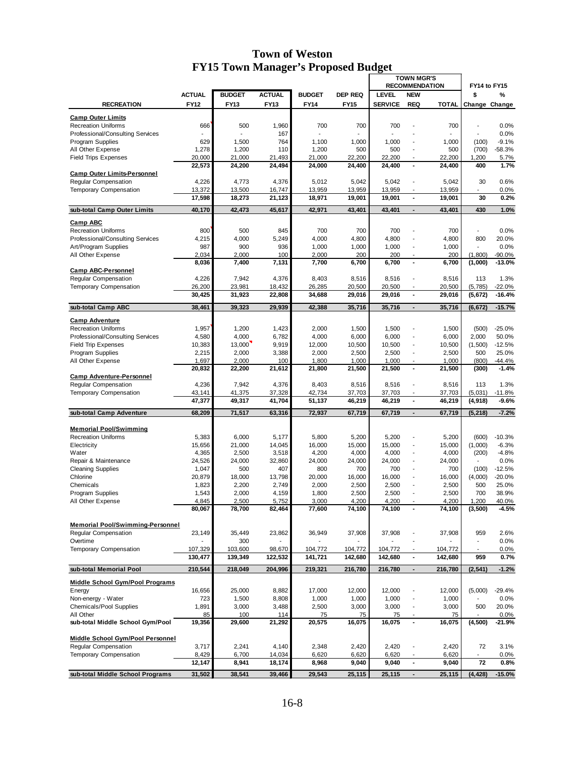|                                                        |                 |                 |                 |                 |                 | <b>TOWN MGR'S</b> |                                        |                 |                          |                   |
|--------------------------------------------------------|-----------------|-----------------|-----------------|-----------------|-----------------|-------------------|----------------------------------------|-----------------|--------------------------|-------------------|
|                                                        | <b>ACTUAL</b>   | <b>BUDGET</b>   | <b>ACTUAL</b>   | <b>BUDGET</b>   | <b>DEP REQ</b>  | <b>LEVEL</b>      | <b>RECOMMENDATION</b><br><b>NEW</b>    |                 | FY14 to FY15<br>\$       | %                 |
| <b>RECREATION</b>                                      | <b>FY12</b>     | FY13            | FY13            | <b>FY14</b>     | <b>FY15</b>     | <b>SERVICE</b>    | <b>REQ</b>                             | <b>TOTAL</b>    |                          | Change Change     |
|                                                        |                 |                 |                 |                 |                 |                   |                                        |                 |                          |                   |
| <b>Camp Outer Limits</b><br><b>Recreation Uniforms</b> | 666             | 500             | 1,960           | 700             | 700             | 700               |                                        | 700             | $\overline{a}$           | 0.0%              |
| Professional/Consulting Services                       |                 |                 | 167             |                 |                 |                   |                                        |                 | ÷,                       | 0.0%              |
| Program Supplies                                       | 629             | 1,500           | 764             | 1,100           | 1,000           | 1,000             | $\overline{\phantom{a}}$               | 1,000           | (100)                    | $-9.1%$           |
| All Other Expense                                      | 1,278           | 1,200           | 110             | 1,200           | 500             | 500               |                                        | 500             | (700)                    | $-58.3%$          |
| <b>Field Trips Expenses</b>                            | 20,000          | 21,000          | 21,493          | 21,000          | 22,200          | 22,200            | $\overline{\phantom{a}}$               | 22,200          | 1,200                    | 5.7%              |
|                                                        | 22,573          | 24,200          | 24,494          | 24,000          | 24,400          | 24,400            | $\blacksquare$                         | 24,400          | 400                      | 1.7%              |
| <b>Camp Outer Limits-Personnel</b>                     |                 |                 |                 |                 |                 |                   |                                        |                 |                          |                   |
| <b>Reqular Compensation</b><br>Temporary Compensation  | 4,226<br>13,372 | 4,773<br>13,500 | 4,376<br>16,747 | 5,012<br>13,959 | 5,042<br>13,959 | 5,042<br>13,959   | Ĭ.<br>L,                               | 5,042<br>13,959 | 30<br>$\overline{a}$     | 0.6%<br>0.0%      |
|                                                        | 17,598          | 18,273          | 21,123          | 18,971          | 19,001          | 19,001            | $\blacksquare$                         | 19,001          | 30                       | 0.2%              |
|                                                        |                 |                 |                 |                 |                 |                   |                                        |                 |                          |                   |
| sub-total Camp Outer Limits                            | 40,170          | 42,473          | 45,617          | 42,971          | 43,401          | 43,401            | $\blacksquare$                         | 43,401          | 430                      | 1.0%              |
| <b>Camp ABC</b>                                        |                 |                 |                 |                 |                 |                   |                                        |                 |                          |                   |
| <b>Recreation Uniforms</b>                             | 800             | 500             | 845             | 700             | 700             | 700               |                                        | 700             | $\overline{a}$           | 0.0%              |
| Professional/Consulting Services                       | 4,215           | 4,000           | 5,249           | 4,000           | 4,800           | 4,800             | L,                                     | 4,800           | 800                      | 20.0%             |
| Art/Program Supplies                                   | 987             | 900             | 936             | 1,000           | 1,000           | 1,000             | $\overline{a}$                         | 1,000           | $\overline{a}$           | 0.0%              |
| All Other Expense                                      | 2,034           | 2,000           | 100             | 2,000           | 200             | 200               | $\overline{a}$                         | 200             | (1,800)                  | $-90.0%$          |
| <b>Camp ABC-Personnel</b>                              | 8,036           | 7,400           | 7,131           | 7,700           | 6,700           | 6,700             | $\blacksquare$                         | 6,700           | (1,000)                  | $-13.0%$          |
| Regular Compensation                                   | 4,226           | 7,942           | 4,376           | 8,403           | 8,516           | 8,516             | $\overline{\phantom{a}}$               | 8,516           | 113                      | 1.3%              |
| <b>Temporary Compensation</b>                          | 26,200          | 23,981          | 18,432          | 26,285          | 20,500          | 20,500            | Ĭ.                                     | 20,500          | (5,785)                  | -22.0%            |
|                                                        | 30,425          | 31,923          | 22,808          | 34,688          | 29,016          | 29,016            | $\blacksquare$                         | 29,016          | (5,672)                  | $-16.4%$          |
|                                                        |                 |                 |                 |                 |                 |                   |                                        |                 |                          | $-15.7%$          |
| sub-total Camp ABC                                     | 38,461          | 39,323          | 29,939          | 42,388          | 35,716          | 35,716            | $\blacksquare$                         | 35,716          | (6, 672)                 |                   |
| <b>Camp Adventure</b>                                  |                 |                 |                 |                 |                 |                   |                                        |                 |                          |                   |
| <b>Recreation Uniforms</b>                             | 1,957           | 1,200           | 1,423           | 2,000           | 1,500           | 1,500             | Ĭ.                                     | 1,500           | (500)                    | $-25.0%$          |
| Professional/Consulting Services                       | 4,580           | 4,000           | 6,782           | 4,000           | 6,000           | 6,000             | $\overline{a}$                         | 6,000           | 2,000                    | 50.0%             |
| <b>Field Trip Expenses</b>                             | 10,383          | 13,000          | 9,919           | 12,000          | 10,500          | 10,500            | L,                                     | 10,500          | (1,500)                  | $-12.5%$          |
| Program Supplies                                       | 2,215           | 2,000           | 3,388           | 2,000           | 2,500           | 2,500             | $\overline{a}$                         | 2,500           | 500                      | 25.0%             |
| All Other Expense                                      | 1,697           | 2,000           | 100             | 1,800           | 1,000           | 1,000             | $\blacksquare$<br>$\ddot{\phantom{1}}$ | 1,000           | (800)                    | -44.4%<br>$-1.4%$ |
| <b>Camp Adventure-Personnel</b>                        | 20,832          | 22,200          | 21,612          | 21,800          | 21,500          | 21,500            |                                        | 21,500          | (300)                    |                   |
| <b>Regular Compensation</b>                            | 4,236           | 7,942           | 4,376           | 8,403           | 8,516           | 8,516             | L,                                     | 8,516           | 113                      | 1.3%              |
| <b>Temporary Compensation</b>                          | 43,141          | 41,375          | 37,328          | 42,734          | 37,703          | 37,703            | $\overline{\phantom{a}}$               | 37,703          | (5,031)                  | $-11.8%$          |
|                                                        | 47,377          | 49,317          | 41,704          | 51,137          | 46,219          | 46,219            | $\blacksquare$                         | 46,219          | (4,918)                  | $-9.6%$           |
| sub-total Camp Adventure                               | 68,209          | 71,517          | 63,316          | 72,937          | 67,719          | 67,719            | $\blacksquare$                         | 67,719          | (5, 218)                 | $-7.2%$           |
|                                                        |                 |                 |                 |                 |                 |                   |                                        |                 |                          |                   |
| <b>Memorial Pool/Swimming</b>                          |                 |                 |                 |                 |                 |                   |                                        |                 |                          |                   |
| <b>Recreation Uniforms</b>                             | 5,383           | 6,000           | 5,177           | 5,800           | 5,200           | 5,200             | Ĭ.                                     | 5,200           | (600)                    | $-10.3%$          |
| Electricity                                            | 15,656          | 21,000          | 14,045          | 16,000          | 15,000          | 15,000            | $\overline{a}$                         | 15,000          | (1,000)                  | $-6.3%$           |
| Water                                                  | 4,365           | 2,500           | 3,518           | 4,200           | 4,000           | 4,000             | Ĭ.                                     | 4,000           | (200)                    | $-4.8%$           |
| Repair & Maintenance                                   | 24,526          | 24,000          | 32,860          | 24,000          | 24,000          | 24,000            | $\overline{\phantom{a}}$               | 24,000          |                          | 0.0%              |
| <b>Cleaning Supplies</b>                               | 1,047           | 500             | 407             | 800             | 700             | 700               | Ĭ.                                     | 700             | (100)                    | $-12.5%$          |
| Chlorine                                               | 20,879          | 18,000          | 13,798          | 20,000          | 16,000          | 16,000            | Ĭ.                                     | 16,000          | (4,000)                  | $-20.0%$          |
| Chemicals                                              | 1,823           | 2,200           | 2,749           | 2,000           | 2,500           | 2,500             | L,                                     | 2,500           | 500                      | 25.0%             |
| Program Supplies<br>All Other Expense                  | 1,543<br>4,845  | 2,000<br>2.500  | 4,159<br>5,752  | 1,800<br>3,000  | 2,500<br>4,200  | 2,500<br>4.200    | $\overline{a}$                         | 2,500<br>4,200  | 700<br>1,200             | 38.9%<br>40.0%    |
|                                                        | 80,067          | 78,700          | 82,464          | 77,600          | 74,100          | 74,100            |                                        | 74,100          | (3,500)                  | $-4.5%$           |
|                                                        |                 |                 |                 |                 |                 |                   |                                        |                 |                          |                   |
| <b>Memorial Pool/Swimming-Personnel</b>                |                 |                 |                 |                 |                 |                   |                                        |                 |                          |                   |
| Regular Compensation                                   | 23,149          | 35,449          | 23,862          | 36,949          | 37,908          | 37,908            | $\overline{\phantom{a}}$               | 37,908          | 959                      | 2.6%              |
| Overtime                                               |                 | 300             |                 |                 |                 |                   | $\overline{a}$                         |                 | $\overline{\phantom{a}}$ | 0.0%              |
| Temporary Compensation                                 | 107,329         | 103,600         | 98,670          | 104,772         | 104,772         | 104,772           |                                        | 104,772         |                          | 0.0%              |
|                                                        | 130,477         | 139,349         | 122,532         | 141,721         | 142,680         | 142,680           | $\blacksquare$                         | 142,680         | 959                      | 0.7%              |
| sub-total Memorial Pool                                | 210,544         | 218,049         | 204,996         | 219,321         | 216,780         | 216,780           | $\overline{\phantom{a}}$               | 216,780         | (2, 541)                 | $-1.2%$           |
| <b>Middle School Gym/Pool Programs</b>                 |                 |                 |                 |                 |                 |                   |                                        |                 |                          |                   |
| Energy                                                 | 16,656          | 25,000          | 8,882           | 17,000          | 12,000          | 12,000            |                                        | 12,000          | (5,000)                  | $-29.4%$          |
| Non-energy - Water                                     | 723             | 1,500           | 8,808           | 1,000           | 1,000           | 1,000             | $\overline{\phantom{a}}$               | 1,000           |                          | 0.0%              |
| Chemicals/Pool Supplies                                | 1,891           | 3,000           | 3,488           | 2,500           | 3,000           | 3,000             |                                        | 3,000           | 500                      | 20.0%             |
| All Other                                              | 85              | 100             | 114             | 75              | 75              | 75                |                                        | 75              |                          | 0.0%              |
| sub-total Middle School Gym/Pool                       | 19,356          | 29,600          | 21,292          | 20,575          | 16,075          | 16,075            | $\blacksquare$                         | 16,075          | (4, 500)                 | $-21.9%$          |
|                                                        |                 |                 |                 |                 |                 |                   |                                        |                 |                          |                   |
| Middle School Gym/Pool Personnel                       |                 |                 |                 |                 |                 |                   |                                        |                 |                          |                   |
| Regular Compensation<br>Temporary Compensation         | 3,717<br>8,429  | 2,241<br>6,700  | 4,140<br>14,034 | 2,348<br>6,620  | 2,420<br>6,620  | 2,420<br>6,620    |                                        | 2,420<br>6,620  | 72                       | 3.1%<br>0.0%      |
|                                                        | 12,147          | 8,941           | 18,174          | 8,968           | 9,040           | 9,040             | $\blacksquare$                         | 9,040           | 72                       | 0.8%              |
|                                                        |                 |                 |                 |                 |                 |                   |                                        |                 |                          |                   |
| sub-total Middle School Programs                       | 31,502          | 38,541          | 39,466          | 29,543          | 25,115          | 25,115            | $\overline{\phantom{a}}$               | 25,115          | (4, 428)                 | $-15.0%$          |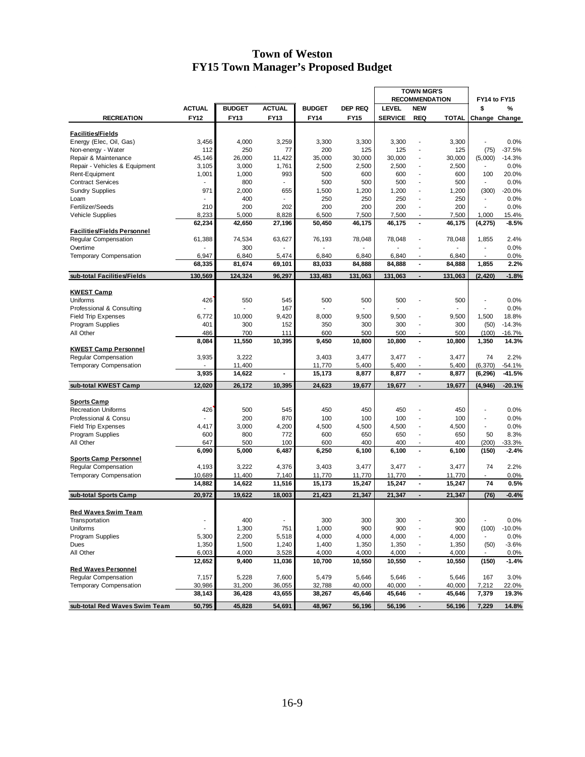|                                                             |                          |               |               |               |                | <b>TOWN MGR'S</b> |                                            |                       |                                |                  |  |
|-------------------------------------------------------------|--------------------------|---------------|---------------|---------------|----------------|-------------------|--------------------------------------------|-----------------------|--------------------------------|------------------|--|
|                                                             |                          |               |               |               |                |                   |                                            | <b>RECOMMENDATION</b> | FY14 to FY15                   |                  |  |
|                                                             | <b>ACTUAL</b>            | <b>BUDGET</b> | <b>ACTUAL</b> | <b>BUDGET</b> | <b>DEP REQ</b> | <b>LEVEL</b>      | <b>NEW</b>                                 |                       | \$                             | %                |  |
| <b>RECREATION</b>                                           | <b>FY12</b>              | <b>FY13</b>   | FY13          | <b>FY14</b>   | <b>FY15</b>    | <b>SERVICE</b>    | <b>REQ</b>                                 | <b>TOTAL</b>          | Change Change                  |                  |  |
| <b>Facilities/Fields</b>                                    |                          |               |               |               |                |                   |                                            |                       |                                |                  |  |
| Energy (Elec, Oil, Gas)                                     | 3,456                    | 4,000         | 3,259         | 3,300         | 3,300          | 3,300             | $\blacksquare$                             | 3,300                 |                                | 0.0%             |  |
| Non-energy - Water                                          | 112                      | 250           | 77            | 200           | 125            | 125               |                                            | 125                   | (75)                           | $-37.5%$         |  |
| Repair & Maintenance                                        | 45,146                   | 26,000        | 11,422        | 35,000        | 30,000         | 30,000            | $\overline{a}$                             | 30,000                | (5,000)                        | $-14.3%$         |  |
| Repair - Vehicles & Equipment                               | 3,105                    | 3,000         | 1,761         | 2,500         | 2,500          | 2,500             | $\blacksquare$                             | 2,500                 |                                | 0.0%             |  |
| Rent-Equipment                                              | 1,001                    | 1,000         | 993           | 500           | 600            | 600               | $\overline{a}$                             | 600                   | 100                            | 20.0%            |  |
| <b>Contract Services</b>                                    |                          | 800           | $\sim$        | 500           | 500            | 500               | $\blacksquare$                             | 500                   | $\blacksquare$                 | 0.0%             |  |
| <b>Sundry Supplies</b>                                      | 971                      | 2,000         | 655           | 1,500         | 1,200          | 1,200             | ٠                                          | 1,200                 | (300)                          | $-20.0%$         |  |
| Loam                                                        |                          | 400           |               | 250           | 250            | 250               | $\overline{a}$                             | 250                   |                                | 0.0%             |  |
| Fertilizer/Seeds                                            | 210                      | 200           | 202           | 200           | 200            | 200               | $\overline{a}$                             | 200                   | ÷.                             | 0.0%             |  |
| <b>Vehicle Supplies</b>                                     | 8,233                    | 5,000         | 8,828         | 6,500         | 7,500          | 7,500             |                                            | 7,500                 | 1,000                          | 15.4%            |  |
|                                                             | 62,234                   | 42,650        | 27,196        | 50,450        | 46,175         | 46,175            | $\blacksquare$                             | 46,175                | (4, 275)                       | $-8.5%$          |  |
| <b>Facilities/Fields Personnel</b>                          |                          |               |               |               |                |                   |                                            |                       |                                |                  |  |
| Regular Compensation                                        | 61,388                   | 74,534        | 63,627        | 76,193        | 78,048         | 78,048            | ٠                                          | 78,048                | 1,855                          | 2.4%             |  |
| Overtime                                                    |                          | 300           |               |               |                |                   |                                            |                       |                                | 0.0%             |  |
| <b>Temporary Compensation</b>                               | 6,947                    | 6,840         | 5,474         | 6,840         | 6,840          | 6,840             |                                            | 6,840                 |                                | 0.0%             |  |
|                                                             | 68,335                   | 81,674        | 69,101        | 83,033        | 84,888         | 84,888            | $\blacksquare$                             | 84,888                | 1,855                          | 2.2%             |  |
| sub-total Facilities/Fields                                 | 130,569                  | 124,324       | 96,297        | 133,483       | 131,063        | 131,063           |                                            | 131,063               | (2, 420)                       | $-1.8%$          |  |
|                                                             |                          |               |               |               |                |                   |                                            |                       |                                |                  |  |
| <b>KWEST Camp</b>                                           |                          |               |               |               |                |                   |                                            |                       |                                |                  |  |
| Uniforms                                                    | 426                      | 550           | 545           | 500           | 500            | 500               |                                            | 500                   |                                | 0.0%             |  |
| Professional & Consulting                                   |                          |               | 167           |               |                | ä,                |                                            |                       | $\blacksquare$                 | 0.0%             |  |
| <b>Field Trip Expenses</b>                                  | 6,772                    | 10.000        | 9,420         | 8,000         | 9,500          | 9,500             | $\blacksquare$                             | 9,500                 | 1,500                          | 18.8%            |  |
| Program Supplies                                            | 401                      | 300           | 152           | 350           | 300            | 300               | $\overline{a}$                             | 300                   | (50)                           | $-14.3%$         |  |
| All Other                                                   | 486                      | 700           | 111           | 600           | 500            | 500               |                                            | 500                   | (100)                          | $-16.7%$         |  |
|                                                             | 8,084                    | 11,550        | 10,395        | 9,450         | 10,800         | 10,800            | $\blacksquare$                             | 10,800                | 1,350                          | 14.3%            |  |
| <b>KWEST Camp Personnel</b>                                 |                          |               |               |               |                |                   |                                            |                       |                                |                  |  |
| Regular Compensation                                        | 3,935                    | 3,222         |               | 3,403         | 3,477          | 3,477             | $\blacksquare$                             | 3,477                 | 74                             | 2.2%             |  |
| <b>Temporary Compensation</b>                               |                          | 11,400        |               | 11,770        | 5,400          | 5,400             | $\overline{\phantom{a}}$                   | 5,400                 | (6, 370)                       | $-54.1%$         |  |
|                                                             | 3,935                    | 14,622        |               | 15,173        | 8,877          | 8,877             | $\blacksquare$                             | 8,877                 | (6, 296)                       | $-41.5%$         |  |
| sub-total KWEST Camp                                        | 12,020                   | 26,172        | 10,395        | 24,623        | 19,677         | 19,677            | $\overline{\phantom{a}}$                   | 19,677                | (4, 946)                       | $-20.1%$         |  |
|                                                             |                          |               |               |               |                |                   |                                            |                       |                                |                  |  |
| <b>Sports Camp</b>                                          |                          |               |               |               |                |                   |                                            |                       |                                |                  |  |
| <b>Recreation Uniforms</b>                                  | 426                      | 500           | 545           | 450           | 450            | 450               |                                            | 450                   | ÷,                             | 0.0%             |  |
| Professional & Consu                                        |                          | 200           | 870           | 100           | 100            | 100               |                                            | 100                   |                                | 0.0%             |  |
| <b>Field Trip Expenses</b>                                  | 4,417                    | 3,000<br>800  | 4,200         | 4,500<br>600  | 4,500<br>650   | 4,500<br>650      | $\overline{\phantom{a}}$                   | 4,500<br>650          | $\overline{\phantom{a}}$<br>50 | 0.0%<br>8.3%     |  |
| Program Supplies<br>All Other                               | 600<br>647               | 500           | 772<br>100    | 600           | 400            | 400               |                                            | 400                   |                                |                  |  |
|                                                             | 6,090                    | 5,000         | 6,487         | 6,250         | 6,100          | 6,100             | $\overline{\phantom{a}}$<br>$\blacksquare$ | 6,100                 | (200)                          | 33.3%<br>$-2.4%$ |  |
|                                                             |                          |               |               |               |                |                   |                                            |                       | (150)                          |                  |  |
| <b>Sports Camp Personnel</b><br><b>Regular Compensation</b> | 4,193                    | 3,222         | 4,376         | 3,403         | 3,477          | 3,477             |                                            | 3,477                 | 74                             | 2.2%             |  |
| <b>Temporary Compensation</b>                               | 10,689                   | 11,400        | 7,140         | 11,770        | 11,770         | 11,770            | $\overline{\phantom{a}}$                   |                       |                                | 0.0%             |  |
|                                                             | 14,882                   | 14,622        | 11,516        | 15,173        | 15,247         | 15,247            | $\blacksquare$                             | 11,770<br>15,247      | 74                             | 0.5%             |  |
| sub-total Sports Camp                                       | 20,972                   | 19,622        | 18,003        | 21,423        | 21,347         | 21,347            | $\blacksquare$                             | 21,347                | (76)                           | $-0.4%$          |  |
|                                                             |                          |               |               |               |                |                   |                                            |                       |                                |                  |  |
| <b>Red Waves Swim Team</b>                                  |                          |               |               |               |                |                   |                                            |                       |                                |                  |  |
| Transportation                                              | $\overline{\phantom{a}}$ | 400           |               | 300           | 300            | 300               |                                            | 300                   |                                | 0.0%             |  |
| Uniforms                                                    |                          | 1,300         | 751           | 1,000         | 900            | 900               |                                            | 900                   | (100)                          | $-10.0%$         |  |
| Program Supplies                                            | 5,300                    | 2,200         | 5,518         | 4,000         | 4,000          | 4,000             |                                            | 4,000                 |                                | 0.0%             |  |
| Dues                                                        | 1,350                    | 1,500         | 1,240         | 1,400         | 1,350          | 1,350             |                                            | 1,350                 | (50)                           | $-3.6%$          |  |
| All Other                                                   | 6,003                    | 4,000         | 3,528         | 4,000         | 4,000          | 4,000             |                                            | 4,000                 |                                | 0.0%             |  |
|                                                             | 12,652                   | 9,400         | 11,036        | 10,700        | 10,550         | 10,550            | $\blacksquare$                             | 10,550                | (150)                          | $-1.4%$          |  |
| <b>Red Waves Personnel</b>                                  |                          |               |               |               |                |                   |                                            |                       |                                |                  |  |
| <b>Regular Compensation</b>                                 | 7,157                    | 5,228         | 7,600         | 5,479         | 5,646          | 5,646             |                                            | 5,646                 | 167                            | 3.0%             |  |
| <b>Temporary Compensation</b>                               | 30,986                   | 31,200        | 36,055        | 32,788        | 40,000         | 40,000            |                                            | 40,000                | 7,212                          | 22.0%            |  |
|                                                             | 38,143                   | 36,428        | 43,655        | 38,267        | 45,646         | 45,646            | $\blacksquare$                             | 45,646                | 7,379                          | 19.3%            |  |
| sub-total Red Waves Swim Team                               | 50,795                   | 45,828        | 54,691        | 48,967        | 56,196         | 56,196            | $\blacksquare$                             | 56,196                | 7,229                          | 14.8%            |  |